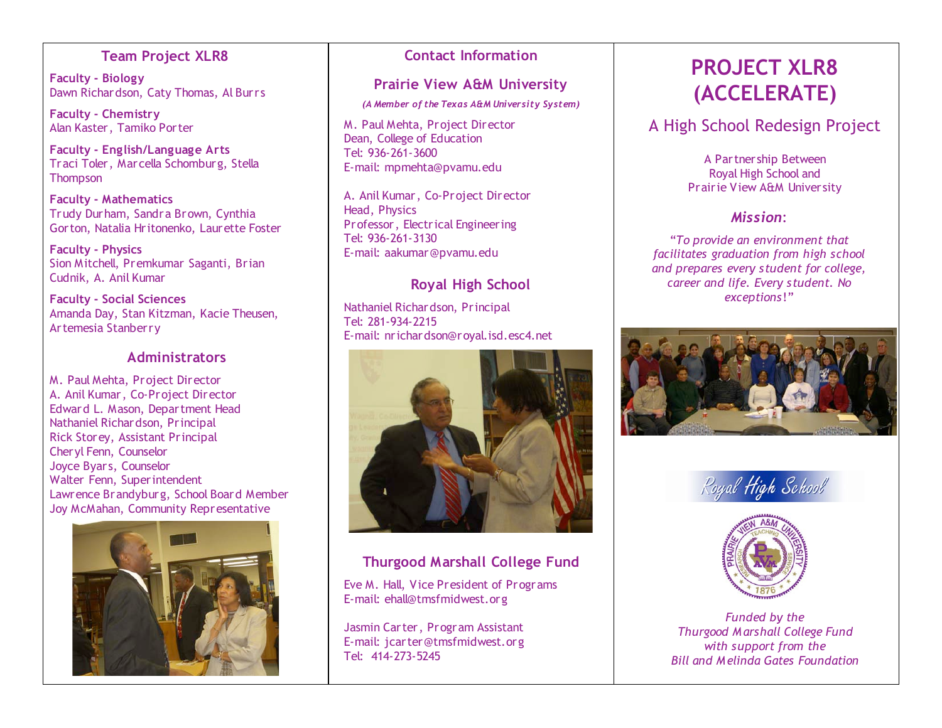# **Team Project XLR8**

**Faculty - Biology** Dawn Richardson, Caty Thomas, Al Burrs

**Faculty - Chemistry** Alan Kaster, Tamiko Porter

**Faculty - English/Language Arts** Traci Toler, Marcella Schomburg, Stella **Thompson** 

**Faculty - Mathematics** Trudy Durham, Sandra Brown, Cynthia Gorton, Natalia Hritonenko, Laurette Foster

**Faculty - Physics** Sion Mitchell, Premkumar Saganti, Brian Cudnik, A. Anil Kumar

**Faculty - Social Sciences** Amanda Day, Stan Kitzman, Kacie Theusen, Artemesia Stanberry

## **Administrators**

M. Paul Mehta, Project Director A. Anil Kumar, Co-Project Director Edward L. Mason, Department Head Nathaniel Richardson, Principal Rick Storey, Assistant Principal Cheryl Fenn, Counselor Joyce Byars, Counselor Walter Fenn, Superintendent Lawrence Brandyburg, School Board Member Joy McMahan, Community Representative



## **Contact Information**

# **Prairie View A&M University**

*(A Member of the Texas A&M University System)*

M. Paul Mehta, Project Director Dean, College of Education Tel: 936-261-3600 E-mail: mpmehta@pvamu.edu

A. Anil Kumar, Co-Project Director Head, Physics Professor, Electrical Engineering Tel: 936-261-3130 E-mail: aakumar@pvamu.edu

# **Royal High School**

Nathaniel Richardson, Principal Tel: 281-934-2215 E-mail: nrichardson@royal.isd.esc4.net



# **Thurgood Marshall College Fund**

Eve M. Hall, Vice President of Programs E-mail: ehall@tmsfmidwest.org

Jasmin Carter, Program Assistant E-mail: jcarter@tmsfmidwest.org Tel: 414-273-5245

# **PROJECT XLR8 (ACCELERATE)**

# A High School Redesign Project

A Partnership Between Royal High School and Prairie View A&M University

# *Mission*:

"*To provide an environment that facilitates graduation from high school and prepares every student for college, career and life. Every student. No exceptions*!"







*Funded by the Thurgood Marshall College Fund with support from the Bill and Melinda Gates Foundation*